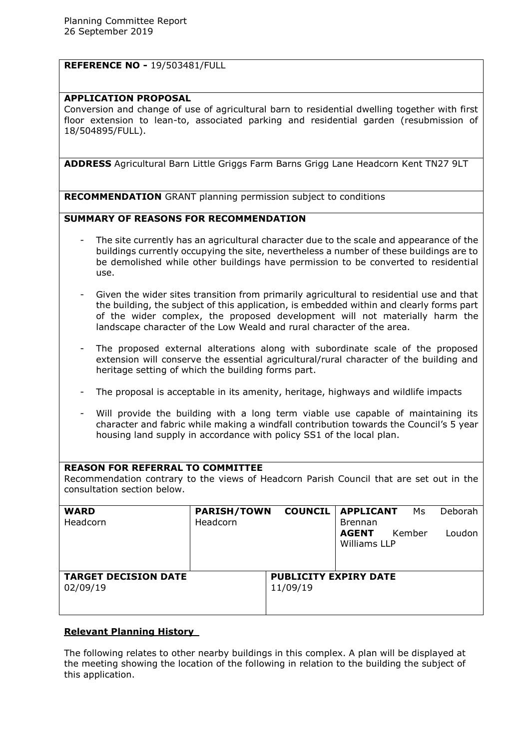## **REFERENCE NO -** 19/503481/FULL

#### **APPLICATION PROPOSAL**

Conversion and change of use of agricultural barn to residential dwelling together with first floor extension to lean-to, associated parking and residential garden (resubmission of 18/504895/FULL).

**ADDRESS** Agricultural Barn Little Griggs Farm Barns Grigg Lane Headcorn Kent TN27 9LT

**RECOMMENDATION** GRANT planning permission subject to conditions

## **SUMMARY OF REASONS FOR RECOMMENDATION**

- The site currently has an agricultural character due to the scale and appearance of the buildings currently occupying the site, nevertheless a number of these buildings are to be demolished while other buildings have permission to be converted to residential use.
- Given the wider sites transition from primarily agricultural to residential use and that the building, the subject of this application, is embedded within and clearly forms part of the wider complex, the proposed development will not materially harm the landscape character of the Low Weald and rural character of the area.
- The proposed external alterations along with subordinate scale of the proposed extension will conserve the essential agricultural/rural character of the building and heritage setting of which the building forms part.
- The proposal is acceptable in its amenity, heritage, highways and wildlife impacts
- Will provide the building with a long term viable use capable of maintaining its character and fabric while making a windfall contribution towards the Council's 5 year housing land supply in accordance with policy SS1 of the local plan.

#### **REASON FOR REFERRAL TO COMMITTEE**

Recommendation contrary to the views of Headcorn Parish Council that are set out in the consultation section below.

| <b>WARD</b><br>Headcorn     | <b>PARISH/TOWN</b><br>Headcorn |                              | <b>COUNCIL   APPLICANT</b><br>Ms<br><b>Brennan</b> | Deborah |
|-----------------------------|--------------------------------|------------------------------|----------------------------------------------------|---------|
|                             |                                |                              | <b>AGENT</b><br>Kember<br>Williams LLP             | Loudon  |
| <b>TARGET DECISION DATE</b> |                                | <b>PUBLICITY EXPIRY DATE</b> |                                                    |         |
| 02/09/19                    |                                | 11/09/19                     |                                                    |         |

#### **Relevant Planning History**

The following relates to other nearby buildings in this complex. A plan will be displayed at the meeting showing the location of the following in relation to the building the subject of this application.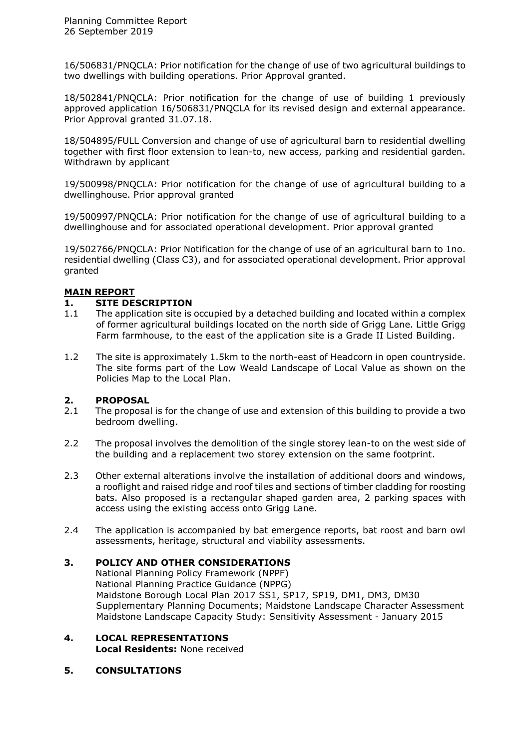16/506831/PNQCLA: Prior notification for the change of use of two agricultural buildings to two dwellings with building operations. Prior Approval granted.

18/502841/PNQCLA: Prior notification for the change of use of building 1 previously approved application 16/506831/PNQCLA for its revised design and external appearance. Prior Approval granted 31.07.18.

18/504895/FULL Conversion and change of use of agricultural barn to residential dwelling together with first floor extension to lean-to, new access, parking and residential garden. Withdrawn by applicant

19/500998/PNQCLA: Prior notification for the change of use of agricultural building to a dwellinghouse. Prior approval granted

19/500997/PNQCLA: Prior notification for the change of use of agricultural building to a dwellinghouse and for associated operational development. Prior approval granted

19/502766/PNQCLA: Prior Notification for the change of use of an agricultural barn to 1no. residential dwelling (Class C3), and for associated operational development. Prior approval granted

## **MAIN REPORT**

## **1. SITE DESCRIPTION**

- 1.1 The application site is occupied by a detached building and located within a complex of former agricultural buildings located on the north side of Grigg Lane. Little Grigg Farm farmhouse, to the east of the application site is a Grade II Listed Building.
- 1.2 The site is approximately 1.5km to the north-east of Headcorn in open countryside. The site forms part of the Low Weald Landscape of Local Value as shown on the Policies Map to the Local Plan.

# **2. PROPOSAL**

- The proposal is for the change of use and extension of this building to provide a two bedroom dwelling.
- 2.2 The proposal involves the demolition of the single storey lean-to on the west side of the building and a replacement two storey extension on the same footprint.
- 2.3 Other external alterations involve the installation of additional doors and windows, a rooflight and raised ridge and roof tiles and sections of timber cladding for roosting bats. Also proposed is a rectangular shaped garden area, 2 parking spaces with access using the existing access onto Grigg Lane.
- 2.4 The application is accompanied by bat emergence reports, bat roost and barn owl assessments, heritage, structural and viability assessments.

# **3. POLICY AND OTHER CONSIDERATIONS**

National Planning Policy Framework (NPPF) National Planning Practice Guidance (NPPG) Maidstone Borough Local Plan 2017 SS1, SP17, SP19, DM1, DM3, DM30 Supplementary Planning Documents; Maidstone Landscape Character Assessment Maidstone Landscape Capacity Study: Sensitivity Assessment - January 2015

- **4. LOCAL REPRESENTATIONS Local Residents:** None received
- **5. CONSULTATIONS**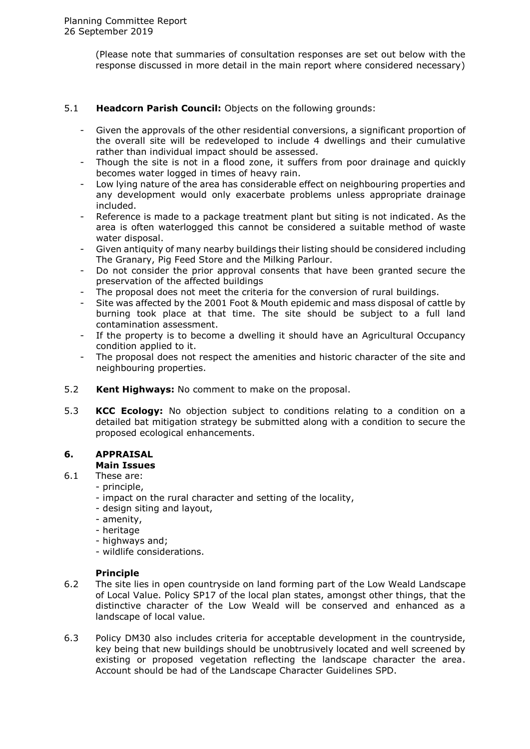(Please note that summaries of consultation responses are set out below with the response discussed in more detail in the main report where considered necessary)

## 5.1 **Headcorn Parish Council:** Objects on the following grounds:

- Given the approvals of the other residential conversions, a significant proportion of the overall site will be redeveloped to include 4 dwellings and their cumulative rather than individual impact should be assessed.
- Though the site is not in a flood zone, it suffers from poor drainage and quickly becomes water logged in times of heavy rain.
- Low lying nature of the area has considerable effect on neighbouring properties and any development would only exacerbate problems unless appropriate drainage included.
- Reference is made to a package treatment plant but siting is not indicated. As the area is often waterlogged this cannot be considered a suitable method of waste water disposal.
- Given antiquity of many nearby buildings their listing should be considered including The Granary, Pig Feed Store and the Milking Parlour.
- Do not consider the prior approval consents that have been granted secure the preservation of the affected buildings
- The proposal does not meet the criteria for the conversion of rural buildings.
- Site was affected by the 2001 Foot & Mouth epidemic and mass disposal of cattle by burning took place at that time. The site should be subject to a full land contamination assessment.
- If the property is to become a dwelling it should have an Agricultural Occupancy condition applied to it.
- The proposal does not respect the amenities and historic character of the site and neighbouring properties.
- 5.2 **Kent Highways:** No comment to make on the proposal.
- 5.3 **KCC Ecology:** No objection subject to conditions relating to a condition on a detailed bat mitigation strategy be submitted along with a condition to secure the proposed ecological enhancements.

#### **6. APPRAISAL Main Issues**

- 6.1 These are:
	- principle,
	-
	- impact on the rural character and setting of the locality,
	- design siting and layout,
	- amenity,
	- heritage
	- highways and;
	- wildlife considerations.

## **Principle**

- 6.2 The site lies in open countryside on land forming part of the Low Weald Landscape of Local Value. Policy SP17 of the local plan states, amongst other things, that the distinctive character of the Low Weald will be conserved and enhanced as a landscape of local value.
- 6.3 Policy DM30 also includes criteria for acceptable development in the countryside, key being that new buildings should be unobtrusively located and well screened by existing or proposed vegetation reflecting the landscape character the area. Account should be had of the Landscape Character Guidelines SPD.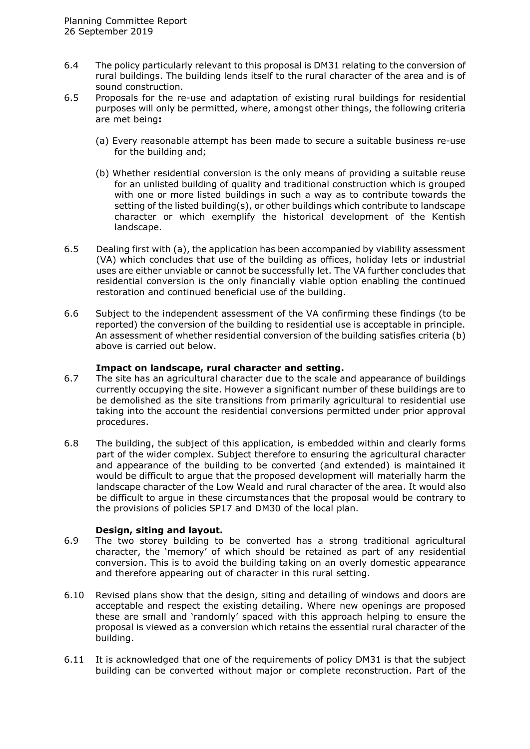- 6.4 The policy particularly relevant to this proposal is DM31 relating to the conversion of rural buildings. The building lends itself to the rural character of the area and is of sound construction.
- 6.5 Proposals for the re-use and adaptation of existing rural buildings for residential purposes will only be permitted, where, amongst other things, the following criteria are met being**:** 
	- (a) Every reasonable attempt has been made to secure a suitable business re-use for the building and;
	- (b) Whether residential conversion is the only means of providing a suitable reuse for an unlisted building of quality and traditional construction which is grouped with one or more listed buildings in such a way as to contribute towards the setting of the listed building(s), or other buildings which contribute to landscape character or which exemplify the historical development of the Kentish landscape.
- 6.5 Dealing first with (a), the application has been accompanied by viability assessment (VA) which concludes that use of the building as offices, holiday lets or industrial uses are either unviable or cannot be successfully let. The VA further concludes that residential conversion is the only financially viable option enabling the continued restoration and continued beneficial use of the building.
- 6.6 Subject to the independent assessment of the VA confirming these findings (to be reported) the conversion of the building to residential use is acceptable in principle. An assessment of whether residential conversion of the building satisfies criteria (b) above is carried out below.

#### **Impact on landscape, rural character and setting.**

- 6.7 The site has an agricultural character due to the scale and appearance of buildings currently occupying the site. However a significant number of these buildings are to be demolished as the site transitions from primarily agricultural to residential use taking into the account the residential conversions permitted under prior approval procedures.
- 6.8 The building, the subject of this application, is embedded within and clearly forms part of the wider complex. Subject therefore to ensuring the agricultural character and appearance of the building to be converted (and extended) is maintained it would be difficult to argue that the proposed development will materially harm the landscape character of the Low Weald and rural character of the area. It would also be difficult to argue in these circumstances that the proposal would be contrary to the provisions of policies SP17 and DM30 of the local plan.

#### **Design, siting and layout.**

- 6.9 The two storey building to be converted has a strong traditional agricultural character, the 'memory' of which should be retained as part of any residential conversion. This is to avoid the building taking on an overly domestic appearance and therefore appearing out of character in this rural setting.
- 6.10 Revised plans show that the design, siting and detailing of windows and doors are acceptable and respect the existing detailing. Where new openings are proposed these are small and 'randomly' spaced with this approach helping to ensure the proposal is viewed as a conversion which retains the essential rural character of the building.
- 6.11 It is acknowledged that one of the requirements of policy DM31 is that the subject building can be converted without major or complete reconstruction. Part of the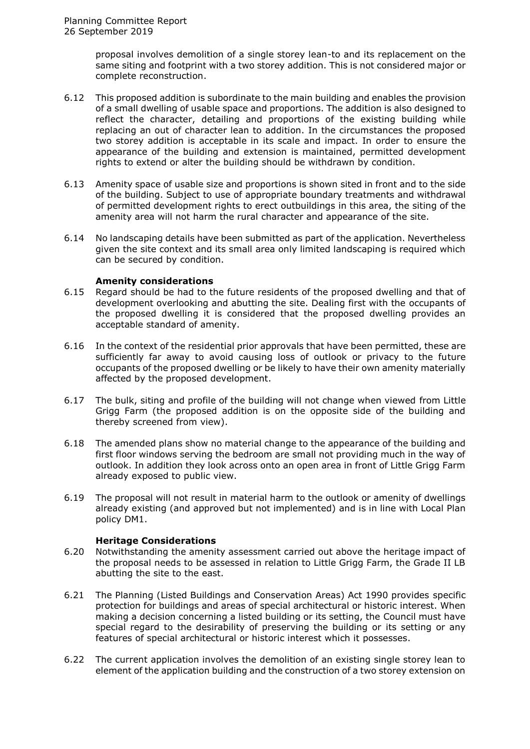proposal involves demolition of a single storey lean-to and its replacement on the same siting and footprint with a two storey addition. This is not considered major or complete reconstruction.

- 6.12 This proposed addition is subordinate to the main building and enables the provision of a small dwelling of usable space and proportions. The addition is also designed to reflect the character, detailing and proportions of the existing building while replacing an out of character lean to addition. In the circumstances the proposed two storey addition is acceptable in its scale and impact. In order to ensure the appearance of the building and extension is maintained, permitted development rights to extend or alter the building should be withdrawn by condition.
- 6.13 Amenity space of usable size and proportions is shown sited in front and to the side of the building. Subject to use of appropriate boundary treatments and withdrawal of permitted development rights to erect outbuildings in this area, the siting of the amenity area will not harm the rural character and appearance of the site.
- 6.14 No landscaping details have been submitted as part of the application. Nevertheless given the site context and its small area only limited landscaping is required which can be secured by condition.

#### **Amenity considerations**

- 6.15 Regard should be had to the future residents of the proposed dwelling and that of development overlooking and abutting the site. Dealing first with the occupants of the proposed dwelling it is considered that the proposed dwelling provides an acceptable standard of amenity.
- 6.16 In the context of the residential prior approvals that have been permitted, these are sufficiently far away to avoid causing loss of outlook or privacy to the future occupants of the proposed dwelling or be likely to have their own amenity materially affected by the proposed development.
- 6.17 The bulk, siting and profile of the building will not change when viewed from Little Grigg Farm (the proposed addition is on the opposite side of the building and thereby screened from view).
- 6.18 The amended plans show no material change to the appearance of the building and first floor windows serving the bedroom are small not providing much in the way of outlook. In addition they look across onto an open area in front of Little Grigg Farm already exposed to public view.
- 6.19 The proposal will not result in material harm to the outlook or amenity of dwellings already existing (and approved but not implemented) and is in line with Local Plan policy DM1.

#### **Heritage Considerations**

- 6.20 Notwithstanding the amenity assessment carried out above the heritage impact of the proposal needs to be assessed in relation to Little Grigg Farm, the Grade II LB abutting the site to the east.
- 6.21 The Planning (Listed Buildings and Conservation Areas) Act 1990 provides specific protection for buildings and areas of special architectural or historic interest. When making a decision concerning a listed building or its setting, the Council must have special regard to the desirability of preserving the building or its setting or any features of special architectural or historic interest which it possesses.
- 6.22 The current application involves the demolition of an existing single storey lean to element of the application building and the construction of a two storey extension on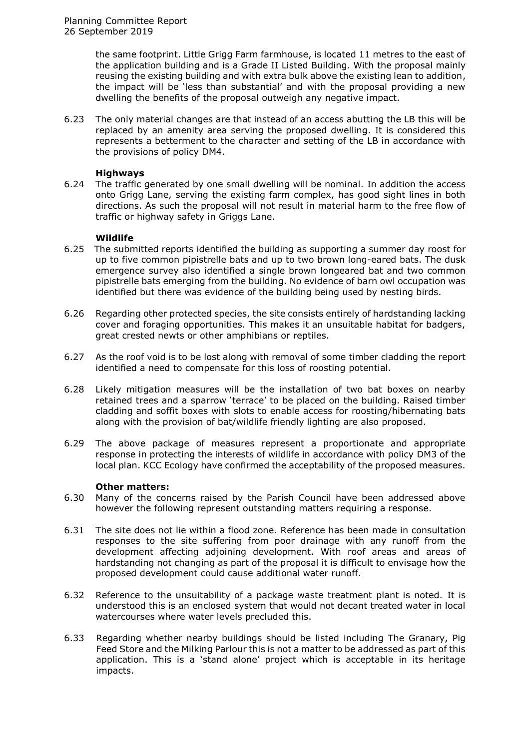the same footprint. Little Grigg Farm farmhouse, is located 11 metres to the east of the application building and is a Grade II Listed Building. With the proposal mainly reusing the existing building and with extra bulk above the existing lean to addition, the impact will be 'less than substantial' and with the proposal providing a new dwelling the benefits of the proposal outweigh any negative impact.

6.23 The only material changes are that instead of an access abutting the LB this will be replaced by an amenity area serving the proposed dwelling. It is considered this represents a betterment to the character and setting of the LB in accordance with the provisions of policy DM4.

#### **Highways**

6.24 The traffic generated by one small dwelling will be nominal. In addition the access onto Grigg Lane, serving the existing farm complex, has good sight lines in both directions. As such the proposal will not result in material harm to the free flow of traffic or highway safety in Griggs Lane.

#### **Wildlife**

- 6.25The submitted reports identified the building as supporting a summer day roost for up to five common pipistrelle bats and up to two brown long-eared bats. The dusk emergence survey also identified a single brown longeared bat and two common pipistrelle bats emerging from the building. No evidence of barn owl occupation was identified but there was evidence of the building being used by nesting birds.
- 6.26 Regarding other protected species, the site consists entirely of hardstanding lacking cover and foraging opportunities. This makes it an unsuitable habitat for badgers, great crested newts or other amphibians or reptiles.
- 6.27 As the roof void is to be lost along with removal of some timber cladding the report identified a need to compensate for this loss of roosting potential.
- 6.28 Likely mitigation measures will be the installation of two bat boxes on nearby retained trees and a sparrow 'terrace' to be placed on the building. Raised timber cladding and soffit boxes with slots to enable access for roosting/hibernating bats along with the provision of bat/wildlife friendly lighting are also proposed.
- 6.29 The above package of measures represent a proportionate and appropriate response in protecting the interests of wildlife in accordance with policy DM3 of the local plan. KCC Ecology have confirmed the acceptability of the proposed measures.

#### **Other matters:**

- 6.30 Many of the concerns raised by the Parish Council have been addressed above however the following represent outstanding matters requiring a response.
- 6.31 The site does not lie within a flood zone. Reference has been made in consultation responses to the site suffering from poor drainage with any runoff from the development affecting adjoining development. With roof areas and areas of hardstanding not changing as part of the proposal it is difficult to envisage how the proposed development could cause additional water runoff.
- 6.32 Reference to the unsuitability of a package waste treatment plant is noted. It is understood this is an enclosed system that would not decant treated water in local watercourses where water levels precluded this.
- 6.33 Regarding whether nearby buildings should be listed including The Granary, Pig Feed Store and the Milking Parlour this is not a matter to be addressed as part of this application. This is a 'stand alone' project which is acceptable in its heritage impacts.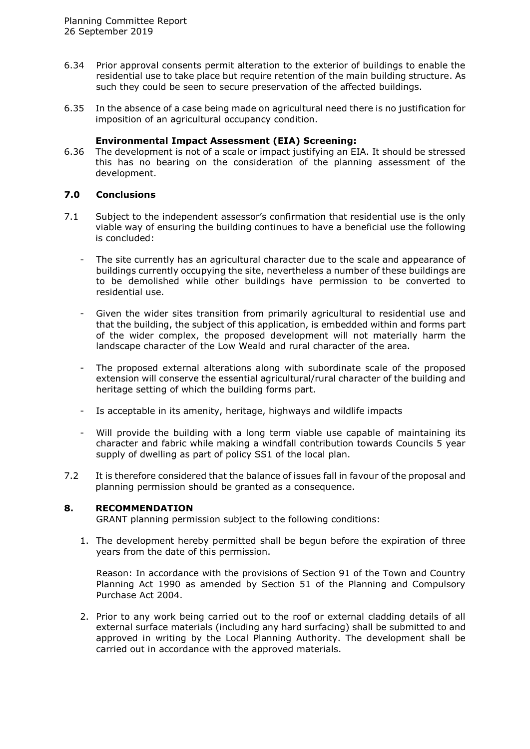- 6.34 Prior approval consents permit alteration to the exterior of buildings to enable the residential use to take place but require retention of the main building structure. As such they could be seen to secure preservation of the affected buildings.
- 6.35 In the absence of a case being made on agricultural need there is no justification for imposition of an agricultural occupancy condition.

#### **Environmental Impact Assessment (EIA) Screening:**

6.36 The development is not of a scale or impact justifying an EIA. It should be stressed this has no bearing on the consideration of the planning assessment of the development.

## **7.0 Conclusions**

- 7.1 Subject to the independent assessor's confirmation that residential use is the only viable way of ensuring the building continues to have a beneficial use the following is concluded:
	- The site currently has an agricultural character due to the scale and appearance of buildings currently occupying the site, nevertheless a number of these buildings are to be demolished while other buildings have permission to be converted to residential use.
	- Given the wider sites transition from primarily agricultural to residential use and that the building, the subject of this application, is embedded within and forms part of the wider complex, the proposed development will not materially harm the landscape character of the Low Weald and rural character of the area.
	- The proposed external alterations along with subordinate scale of the proposed extension will conserve the essential agricultural/rural character of the building and heritage setting of which the building forms part.
	- Is acceptable in its amenity, heritage, highways and wildlife impacts
	- Will provide the building with a long term viable use capable of maintaining its character and fabric while making a windfall contribution towards Councils 5 year supply of dwelling as part of policy SS1 of the local plan.
- 7.2 It is therefore considered that the balance of issues fall in favour of the proposal and planning permission should be granted as a consequence.

#### **8. RECOMMENDATION**

GRANT planning permission subject to the following conditions:

1. The development hereby permitted shall be begun before the expiration of three years from the date of this permission.

Reason: In accordance with the provisions of Section 91 of the Town and Country Planning Act 1990 as amended by Section 51 of the Planning and Compulsory Purchase Act 2004.

2. Prior to any work being carried out to the roof or external cladding details of all external surface materials (including any hard surfacing) shall be submitted to and approved in writing by the Local Planning Authority. The development shall be carried out in accordance with the approved materials.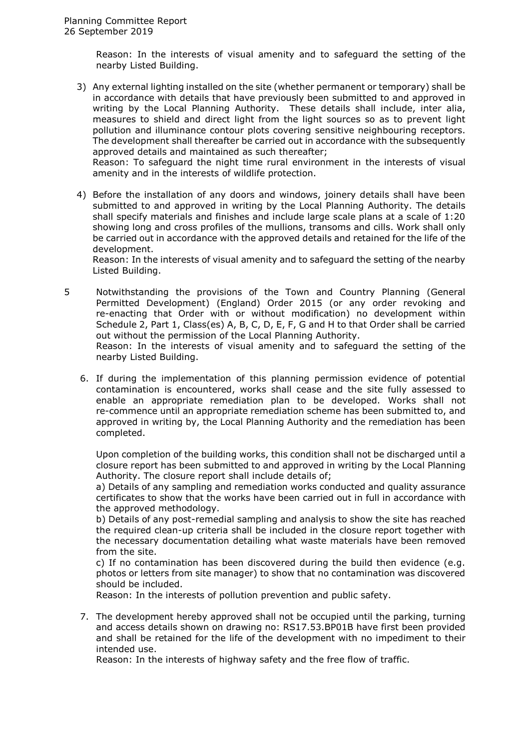Reason: In the interests of visual amenity and to safeguard the setting of the nearby Listed Building.

3) Any external lighting installed on the site (whether permanent or temporary) shall be in accordance with details that have previously been submitted to and approved in writing by the Local Planning Authority. These details shall include, inter alia, measures to shield and direct light from the light sources so as to prevent light pollution and illuminance contour plots covering sensitive neighbouring receptors. The development shall thereafter be carried out in accordance with the subsequently approved details and maintained as such thereafter;

Reason: To safeguard the night time rural environment in the interests of visual amenity and in the interests of wildlife protection.

4) Before the installation of any doors and windows, joinery details shall have been submitted to and approved in writing by the Local Planning Authority. The details shall specify materials and finishes and include large scale plans at a scale of 1:20 showing long and cross profiles of the mullions, transoms and cills. Work shall only be carried out in accordance with the approved details and retained for the life of the development.

Reason: In the interests of visual amenity and to safeguard the setting of the nearby Listed Building.

- 5 Notwithstanding the provisions of the Town and Country Planning (General Permitted Development) (England) Order 2015 (or any order revoking and re-enacting that Order with or without modification) no development within Schedule 2, Part 1, Class(es) A, B, C, D, E, F, G and H to that Order shall be carried out without the permission of the Local Planning Authority. Reason: In the interests of visual amenity and to safeguard the setting of the nearby Listed Building.
	- 6. If during the implementation of this planning permission evidence of potential contamination is encountered, works shall cease and the site fully assessed to enable an appropriate remediation plan to be developed. Works shall not re-commence until an appropriate remediation scheme has been submitted to, and approved in writing by, the Local Planning Authority and the remediation has been completed.

Upon completion of the building works, this condition shall not be discharged until a closure report has been submitted to and approved in writing by the Local Planning Authority. The closure report shall include details of;

a) Details of any sampling and remediation works conducted and quality assurance certificates to show that the works have been carried out in full in accordance with the approved methodology.

b) Details of any post-remedial sampling and analysis to show the site has reached the required clean-up criteria shall be included in the closure report together with the necessary documentation detailing what waste materials have been removed from the site.

c) If no contamination has been discovered during the build then evidence (e.g. photos or letters from site manager) to show that no contamination was discovered should be included.

Reason: In the interests of pollution prevention and public safety.

7. The development hereby approved shall not be occupied until the parking, turning and access details shown on drawing no: RS17.53.BP01B have first been provided and shall be retained for the life of the development with no impediment to their intended use.

Reason: In the interests of highway safety and the free flow of traffic.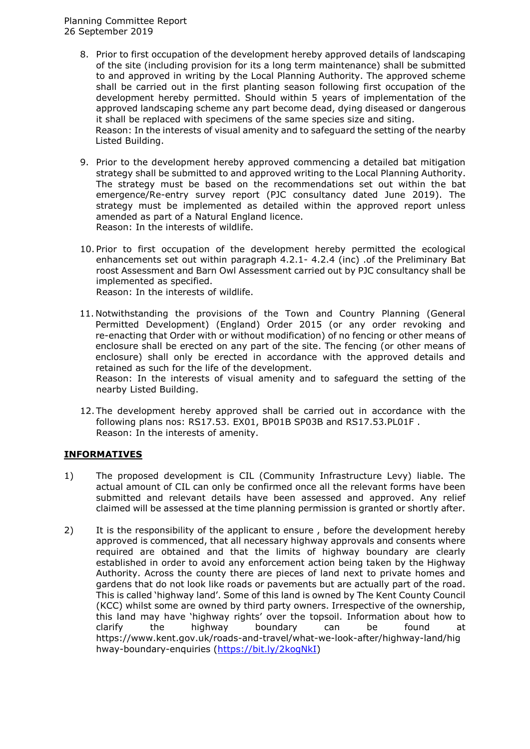- 8. Prior to first occupation of the development hereby approved details of landscaping of the site (including provision for its a long term maintenance) shall be submitted to and approved in writing by the Local Planning Authority. The approved scheme shall be carried out in the first planting season following first occupation of the development hereby permitted. Should within 5 years of implementation of the approved landscaping scheme any part become dead, dying diseased or dangerous it shall be replaced with specimens of the same species size and siting. Reason: In the interests of visual amenity and to safeguard the setting of the nearby Listed Building.
- 9. Prior to the development hereby approved commencing a detailed bat mitigation strategy shall be submitted to and approved writing to the Local Planning Authority. The strategy must be based on the recommendations set out within the bat emergence/Re-entry survey report (PJC consultancy dated June 2019). The strategy must be implemented as detailed within the approved report unless amended as part of a Natural England licence. Reason: In the interests of wildlife.
- 10. Prior to first occupation of the development hereby permitted the ecological enhancements set out within paragraph 4.2.1- 4.2.4 (inc) .of the Preliminary Bat roost Assessment and Barn Owl Assessment carried out by PJC consultancy shall be implemented as specified. Reason: In the interests of wildlife.
- 11. Notwithstanding the provisions of the Town and Country Planning (General Permitted Development) (England) Order 2015 (or any order revoking and re-enacting that Order with or without modification) of no fencing or other means of enclosure shall be erected on any part of the site. The fencing (or other means of enclosure) shall only be erected in accordance with the approved details and retained as such for the life of the development.

Reason: In the interests of visual amenity and to safeguard the setting of the nearby Listed Building.

12. The development hereby approved shall be carried out in accordance with the following plans nos: RS17.53. EX01, BP01B SP03B and RS17.53.PL01F . Reason: In the interests of amenity.

## **INFORMATIVES**

- 1) The proposed development is CIL (Community Infrastructure Levy) liable. The actual amount of CIL can only be confirmed once all the relevant forms have been submitted and relevant details have been assessed and approved. Any relief claimed will be assessed at the time planning permission is granted or shortly after.
- 2) It is the responsibility of the applicant to ensure , before the development hereby approved is commenced, that all necessary highway approvals and consents where required are obtained and that the limits of highway boundary are clearly established in order to avoid any enforcement action being taken by the Highway Authority. Across the county there are pieces of land next to private homes and gardens that do not look like roads or pavements but are actually part of the road. This is called 'highway land'. Some of this land is owned by The Kent County Council (KCC) whilst some are owned by third party owners. Irrespective of the ownership, this land may have 'highway rights' over the topsoil. Information about how to clarify the highway boundary can be found at https://www.kent.gov.uk/roads-and-travel/what-we-look-after/highway-land/hig hway-boundary-enquiries [\(https://bit.ly/2kogNkI\)](https://bit.ly/2kogNkI)